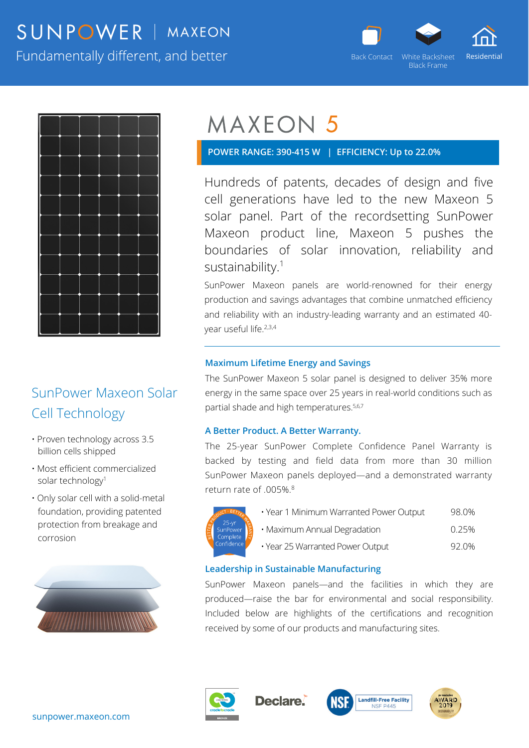## SUNPOWER | MAXEON



Black Frame

Fundamentally different, and better



### SunPower Maxeon Solar Cell Technology

- Proven technology across 3.5 billion cells shipped
- Most efficient commercialized solar technology<sup>1</sup>
- Only solar cell with a solid-metal foundation, providing patented protection from breakage and corrosion



# **MAXEON 5**

 **POWER RANGE: 390-415 W | EFFICIENCY: Up to 22.0%** 

Hundreds of patents, decades of design and five cell generations have led to the new Maxeon 5 solar panel. Part of the recordsetting SunPower Maxeon product line, Maxeon 5 pushes the boundaries of solar innovation, reliability and sustainability.<sup>1</sup>

SunPower Maxeon panels are world-renowned for their energy production and savings advantages that combine unmatched efficiency and reliability with an industry-leading warranty and an estimated 40 year useful life.2,3,4

#### **Maximum Lifetime Energy and Savings**

The SunPower Maxeon 5 solar panel is designed to deliver 35% more energy in the same space over 25 years in real-world conditions such as partial shade and high temperatures.5,6,7

#### **A Better Product. A Better Warranty.**

The 25-year SunPower Complete Confidence Panel Warranty is backed by testing and field data from more than 30 million SunPower Maxeon panels deployed—and a demonstrated warranty return rate of .005%.8



• Year 1 Minimum Warranted Power Output 98.0% • Maximum Annual Degradation **compared 10.25%** • Year 25 Warranted Power Output 92.0%

#### **Leadership in Sustainable Manufacturing**

SunPower Maxeon panels—and the facilities in which they are produced—raise the bar for environmental and social responsibility. Included below are highlights of the certifications and recognition received by some of our products and manufacturing sites.